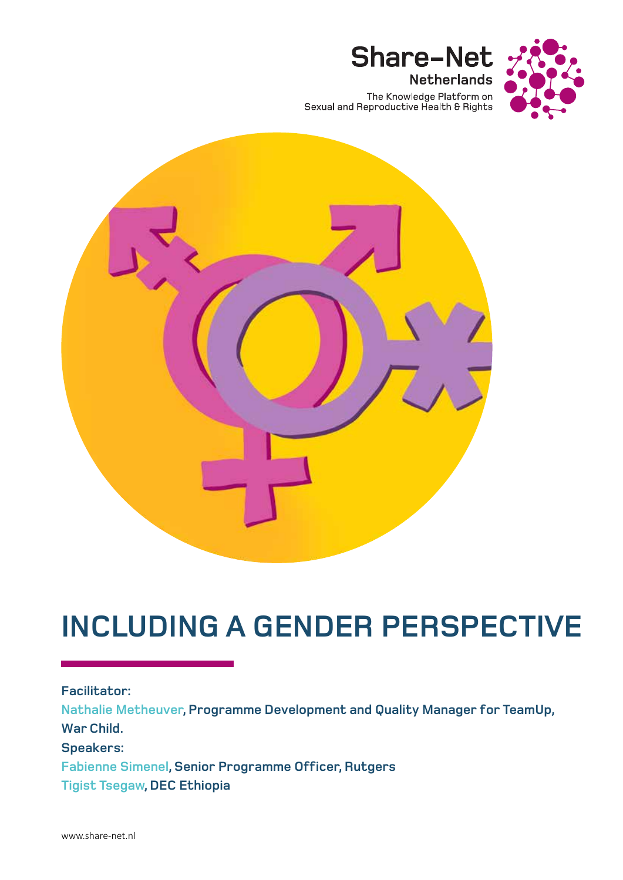

The Knowledge Platform on<br>Sexual and Reproductive Health & Rights

**Share-Net** 

**Netherlands** 



# **INCLUDING A GENDER PERSPECTIVE**

**Facilitator: Nathalie Metheuver, Programme Development and Quality Manager for TeamUp, War Child. Speakers: Fabienne Simenel, Senior Programme Officer, Rutgers Tigist Tsegaw, DEC Ethiopia**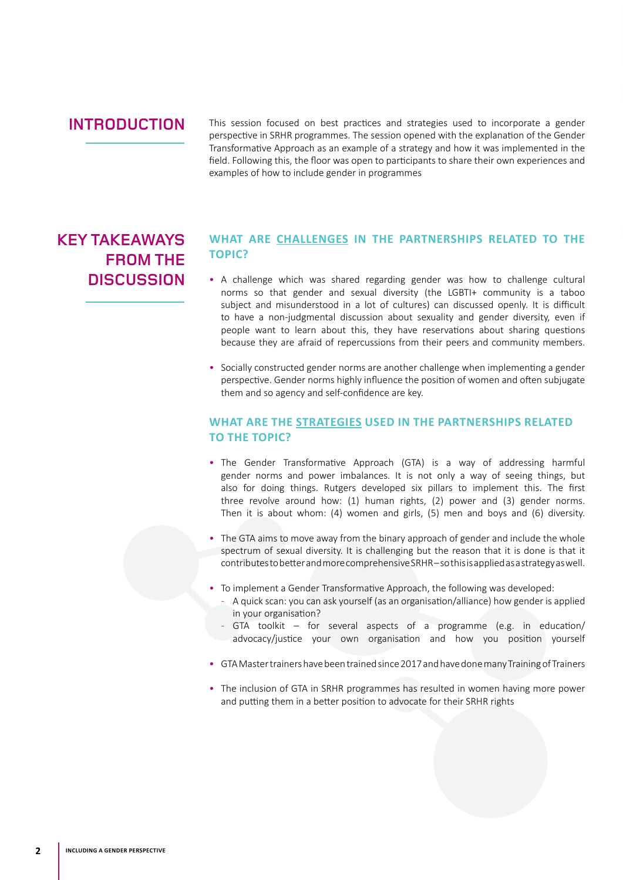### **INTRODUCTION**

This session focused on best practices and strategies used to incorporate a gender perspective in SRHR programmes. The session opened with the explanation of the Gender Transformative Approach as an example of a strategy and how it was implemented in the field. Following this, the floor was open to participants to share their own experiences and examples of how to include gender in programmes

## **KEY TAKEAWAYS FROM THE DISCUSSION**

#### **WHAT ARE CHALLENGES IN THE PARTNERSHIPS RELATED TO THE TOPIC?**

- A challenge which was shared regarding gender was how to challenge cultural norms so that gender and sexual diversity (the LGBTI+ community is a taboo subject and misunderstood in a lot of cultures) can discussed openly. It is difficult to have a non-judgmental discussion about sexuality and gender diversity, even if people want to learn about this, they have reservations about sharing questions because they are afraid of repercussions from their peers and community members.
- Socially constructed gender norms are another challenge when implementing a gender perspective. Gender norms highly influence the position of women and often subjugate them and so agency and self-confidence are key.

#### **WHAT ARE THE STRATEGIES USED IN THE PARTNERSHIPS RELATED TO THE TOPIC?**

- The Gender Transformative Approach (GTA) is a way of addressing harmful gender norms and power imbalances. It is not only a way of seeing things, but also for doing things. Rutgers developed six pillars to implement this. The first three revolve around how: (1) human rights, (2) power and (3) gender norms. Then it is about whom: (4) women and girls, (5) men and boys and (6) diversity.
- The GTA aims to move away from the binary approach of gender and include the whole spectrum of sexual diversity. It is challenging but the reason that it is done is that it contributes to better and more comprehensive SRHR – so this is applied as a strategy as well.
- To implement a Gender Transformative Approach, the following was developed:
	- A quick scan: you can ask yourself (as an organisation/alliance) how gender is applied in your organisation?
	- GTA toolkit for several aspects of a programme (e.g. in education/ advocacy/justice your own organisation and how you position yourself
- GTA Master trainers have been trained since 2017 and have done many Training of Trainers
- The inclusion of GTA in SRHR programmes has resulted in women having more power and putting them in a better position to advocate for their SRHR rights